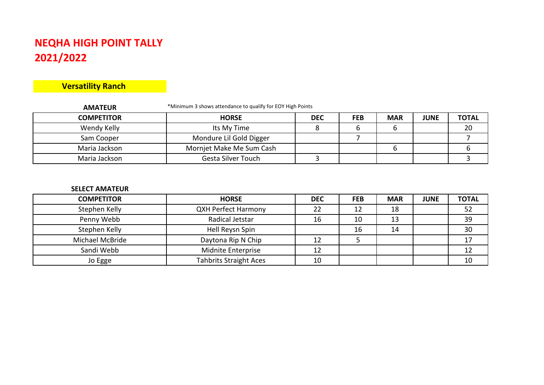## **NEQHA HIGH POINT TALLY 2021/2022**

## **Versatility Ranch**

| <b>AMATEUR</b>    | *Minimum 3 shows attendance to qualify for EOY High Points |            |            |            |             |              |
|-------------------|------------------------------------------------------------|------------|------------|------------|-------------|--------------|
| <b>COMPETITOR</b> | <b>HORSE</b>                                               | <b>DEC</b> | <b>FEB</b> | <b>MAR</b> | <b>JUNE</b> | <b>TOTAL</b> |
| Wendy Kelly       | Its My Time                                                |            |            |            |             | 20           |
| Sam Cooper        | Mondure Lil Gold Digger                                    |            |            |            |             |              |
| Maria Jackson     | Mornjet Make Me Sum Cash                                   |            |            |            |             |              |
| Maria Jackson     | <b>Gesta Silver Touch</b>                                  |            |            |            |             |              |

## **SELECT AMATEUR**

| <b>COMPETITOR</b> | <b>HORSE</b>                  | <b>DEC</b> | <b>FEB</b> | <b>MAR</b> | <b>JUNE</b> | <b>TOTAL</b> |
|-------------------|-------------------------------|------------|------------|------------|-------------|--------------|
| Stephen Kelly     | <b>QXH Perfect Harmony</b>    | 22         | 12         | 18         |             | 52           |
| Penny Webb        | Radical Jetstar               | 16         | 10         | 13         |             | 39           |
| Stephen Kelly     | Hell Reysn Spin               |            | 16         | 14         |             | 30           |
| Michael McBride   | Daytona Rip N Chip            | 12         |            |            |             |              |
| Sandi Webb        | Midnite Enterprise            | 12         |            |            |             |              |
| Jo Egge           | <b>Tahbrits Straight Aces</b> | 10         |            |            |             | 10           |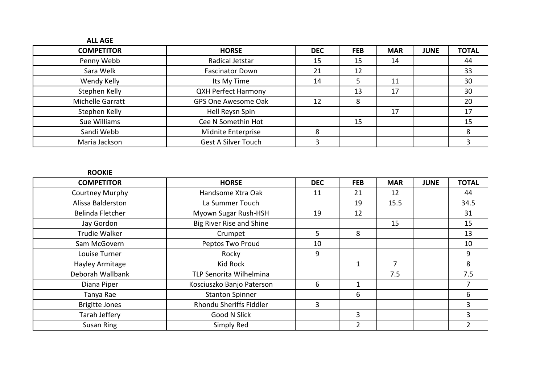| <b>ALL AGE</b>    |                            |            |            |            |             |              |
|-------------------|----------------------------|------------|------------|------------|-------------|--------------|
| <b>COMPETITOR</b> | <b>HORSE</b>               | <b>DEC</b> | <b>FEB</b> | <b>MAR</b> | <b>JUNE</b> | <b>TOTAL</b> |
| Penny Webb        | Radical Jetstar            | 15         | 15         | 14         |             | 44           |
| Sara Welk         | <b>Fascinator Down</b>     | 21         | 12         |            |             | 33           |
| Wendy Kelly       | Its My Time                | 14         | 5.         | 11         |             | 30           |
| Stephen Kelly     | <b>QXH Perfect Harmony</b> |            | 13         | 17         |             | 30           |
| Michelle Garratt  | GPS One Awesome Oak        | 12         | 8          |            |             | 20           |
| Stephen Kelly     | Hell Reysn Spin            |            |            | 17         |             | 17           |
| Sue Williams      | Cee N Somethin Hot         |            | 15         |            |             | 15           |
| Sandi Webb        | Midnite Enterprise         | 8          |            |            |             | 8            |
| Maria Jackson     | <b>Gest A Silver Touch</b> | 3          |            |            |             |              |

**ROOKIE**

| <b>HORSE</b>                    | <b>DEC</b> | <b>FEB</b>     | <b>MAR</b> | <b>JUNE</b> | <b>TOTAL</b> |
|---------------------------------|------------|----------------|------------|-------------|--------------|
| Handsome Xtra Oak               | 11         | 21             | 12         |             | 44           |
| La Summer Touch                 |            | 19             | 15.5       |             | 34.5         |
| Myown Sugar Rush-HSH            | 19         | 12             |            |             | 31           |
| <b>Big River Rise and Shine</b> |            |                | 15         |             | 15           |
| Crumpet                         | 5          | 8              |            |             | 13           |
| Peptos Two Proud                | 10         |                |            |             | 10           |
| Rocky                           | 9          |                |            |             | 9            |
| Kid Rock                        |            |                | 7          |             | 8            |
| TLP Senorita Wilhelmina         |            |                | 7.5        |             | 7.5          |
| Kosciuszko Banjo Paterson       | 6          |                |            |             |              |
| <b>Stanton Spinner</b>          |            | 6              |            |             | 6            |
| Rhondu Sheriffs Fiddler         | 3          |                |            |             | 3            |
| Good N Slick                    |            | 3              |            |             | 3            |
| Simply Red                      |            | $\overline{2}$ |            |             | 2            |
|                                 |            |                |            |             |              |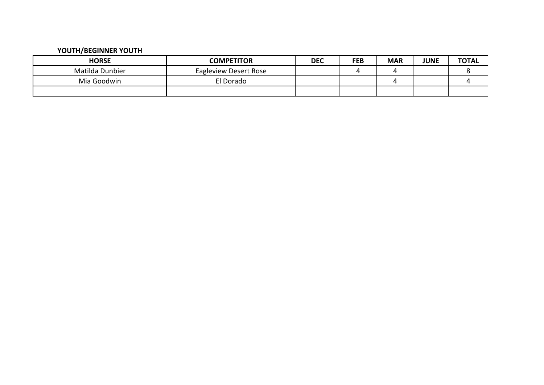## **YOUTH/BEGINNER YOUTH**

| <b>HORSE</b>    | <b>COMPETITOR</b>     | <b>DEC</b> | <b>FEB</b> | <b>MAR</b> | <b>JUNE</b> | <b>TOTAL</b> |
|-----------------|-----------------------|------------|------------|------------|-------------|--------------|
| Matilda Dunbier | Eagleview Desert Rose |            |            |            |             |              |
| Mia Goodwin     | El Dorado             |            |            |            |             |              |
|                 |                       |            |            |            |             |              |